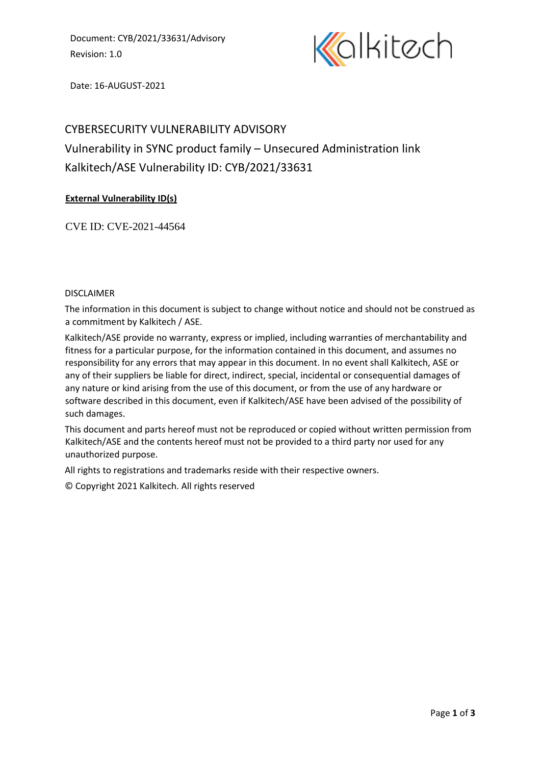Document: CYB/2021/33631/Advisory Revision: 1.0



Date: 16-AUGUST-2021

# CYBERSECURITY VULNERABILITY ADVISORY Vulnerability in SYNC product family – Unsecured Administration link Kalkitech/ASE Vulnerability ID: CYB/2021/33631

## **External Vulnerability ID(s)**

CVE ID: CVE-2021-44564

#### DISCLAIMER

The information in this document is subject to change without notice and should not be construed as a commitment by Kalkitech / ASE.

Kalkitech/ASE provide no warranty, express or implied, including warranties of merchantability and fitness for a particular purpose, for the information contained in this document, and assumes no responsibility for any errors that may appear in this document. In no event shall Kalkitech, ASE or any of their suppliers be liable for direct, indirect, special, incidental or consequential damages of any nature or kind arising from the use of this document, or from the use of any hardware or software described in this document, even if Kalkitech/ASE have been advised of the possibility of such damages.

This document and parts hereof must not be reproduced or copied without written permission from Kalkitech/ASE and the contents hereof must not be provided to a third party nor used for any unauthorized purpose.

All rights to registrations and trademarks reside with their respective owners.

© Copyright 2021 Kalkitech. All rights reserved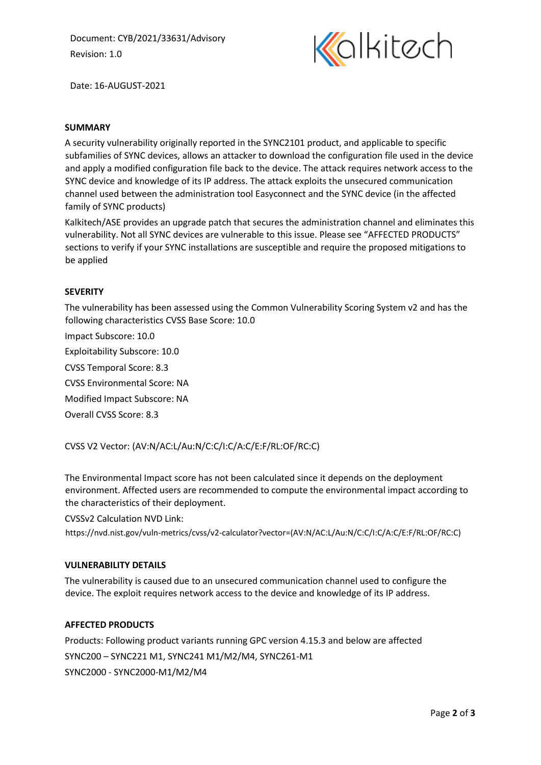Document: CYB/2021/33631/Advisory Revision: 1.0



Date: 16-AUGUST-2021

#### **SUMMARY**

A security vulnerability originally reported in the SYNC2101 product, and applicable to specific subfamilies of SYNC devices, allows an attacker to download the configuration file used in the device and apply a modified configuration file back to the device. The attack requires network access to the SYNC device and knowledge of its IP address. The attack exploits the unsecured communication channel used between the administration tool Easyconnect and the SYNC device (in the affected family of SYNC products)

Kalkitech/ASE provides an upgrade patch that secures the administration channel and eliminates this vulnerability. Not all SYNC devices are vulnerable to this issue. Please see "AFFECTED PRODUCTS" sections to verify if your SYNC installations are susceptible and require the proposed mitigations to be applied

#### **SEVERITY**

The vulnerability has been assessed using the Common Vulnerability Scoring System v2 and has the following characteristics CVSS Base Score: 10.0 Impact Subscore: 10.0 Exploitability Subscore: 10.0

CVSS Temporal Score: 8.3

CVSS Environmental Score: NA

Modified Impact Subscore: NA

Overall CVSS Score: 8.3

## CVSS V2 Vector: (AV:N/AC:L/Au:N/C:C/I:C/A:C/E:F/RL:OF/RC:C)

The Environmental Impact score has not been calculated since it depends on the deployment environment. Affected users are recommended to compute the environmental impact according to the characteristics of their deployment.

CVSSv2 Calculation NVD Link:

https://nvd.nist.gov/vuln-metrics/cvss/v2-calculator?vector=(AV:N/AC:L/Au:N/C:C/I:C/A:C/E:F/RL:OF/RC:C)

#### **VULNERABILITY DETAILS**

The vulnerability is caused due to an unsecured communication channel used to configure the device. The exploit requires network access to the device and knowledge of its IP address.

#### **AFFECTED PRODUCTS**

Products: Following product variants running GPC version 4.15.3 and below are affected SYNC200 – SYNC221 M1, SYNC241 M1/M2/M4, SYNC261-M1 SYNC2000 - SYNC2000-M1/M2/M4